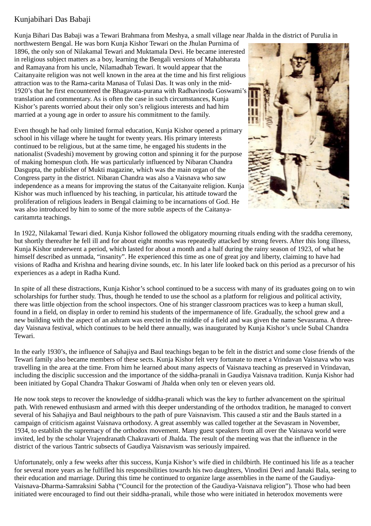## Kunjabihari Das Babaji

Kunja Bihari Das Babaji was a Tewari Brahmana from Meshya, a small village near Jhalda in the district of Purulia in

northwestern Bengal. He was born Kunja Kishor Tewari on the Jhulan Purnima of 1896, the only son of Nilakamal Tewari and Muktamala Devi. He became interested in religious subject matters as a boy, learning the Bengali versions of Mahabharata and Ramayana from his uncle, Nilamadhab Tewari. It would appear that the Caitanyaite religion was not well known in the area at the time and his first religious attraction was to the Rama-carita Manasa of Tulasi Das. It was only in the mid-1920's that he first encountered the Bhagavata-purana with Radhavinoda Goswami's translation and commentary. As is often the case in such circumstances, Kunja Kishor's parents worried about their only son's religious interests and had him married at a young age in order to assure his commitment to the family.

Even though he had only limited formal education, Kunja Kishor opened a primary school in his village where he taught for twenty years. His primary interests continued to be religious, but at the same time, he engaged his students in the nationalist (Svadeshi) movement by growing cotton and spinning it for the purpose of making homespun cloth. He was particularly influenced by Nibaran Chandra Dasgupta, the publisher of Mukti magazine, which was the main organ of the Congress party in the district. Nibaran Chandra was also a Vaisnava who saw independence as a means for improving the status of the Caitanyaite religion. Kunja Kishor was much influenced by his teaching, in particular, his attitude toward the proliferation of religious leaders in Bengal claiming to be incarnations of God. He was also introduced by him to some of the more subtle aspects of the Caitanyacaritamrta teachings.



In 1922, Nilakamal Tewari died. Kunja Kishor followed the obligatory mourning rituals ending with the sraddha ceremony, but shortly thereafter he fell ill and for about eight months was repeatedly attacked by strong fevers. After this long illness, Kunja Kishor underwent a period, which lasted for about a month and a half during the rainy season of 1923, of what he himself described as unmada, "insanity". He experienced this time as one of great joy and liberty, claiming to have had visions of Radha and Krishna and hearing divine sounds, etc. In his later life looked back on this period as a precursor of his experiences as a adept in Radha Kund.

In spite of all these distractions, Kunja Kishor's school continued to be a success with many of its graduates going on to win scholarships for further study. Thus, though he tended to use the school as a platform for religious and political activity, there was little objection from the school inspectors. One of his stranger classroom practices was to keep a human skull, found in a field, on display in order to remind his students of the impermanence of life. Gradually, the school grew and a new building with the aspect of an ashram was erected in the middle of a field and was given the name Sevasrama. A threeday Vaisnava festival, which continues to be held there annually, was inaugurated by Kunja Kishor's uncle Subal Chandra Tewari.

In the early 1930's, the influence of Sahajiya and Baul teachings began to be felt in the district and some close friends of the Tewari family also became members of these sects. Kunja Kishor felt very fortunate to meet a Vrindavan Vaisnava who was travelling in the area at the time. From him he learned about many aspects of Vaisnava teaching as preserved in Vrindavan, including the disciplic succession and the importance of the siddha-pranali in Gaudiya Vaisnava tradition. Kunja Kishor had been initiated by Gopal Chandra Thakur Goswami of Jhalda when only ten or eleven years old.

He now took steps to recover the knowledge of siddha-pranali which was the key to further advancement on the spiritual path. With renewed enthusiasm and armed with this deeper understanding of the orthodox tradition, he managed to convert several of his Sahajiya and Baul neighbours to the path of pure Vaisnavism. This caused a stir and the Bauls started in a campaign of criticism against Vaisnava orthodoxy. A great assembly was called together at the Sevasram in November, 1934, to establish the supremacy of the orthodox movement. Many guest speakers from all over the Vaisnava world were invited, led by the scholar Vrajendranath Chakravarti of Jhalda. The result of the meeting was that the influence in the district of the various Tantric subsects of Gaudiya Vaisnavism was seriously impaired.

Unfortunately, only a few weeks after this success, Kunja Kishor's wife died in childbirth. He continued his life as a teacher for several more years as he fulfilled his responsibilities towards his two daughters, Vinodini Devi and Janaki Bala, seeing to their education and marriage. During this time he continued to organize large assemblies in the name of the Gaudiya-Vaisnava-Dharma-Samraksini Sabha ("Council for the protection of the Gaudiya-Vaisnava religion"). Those who had been initiated were encouraged to find out their siddha-pranali, while those who were initiated in heterodox movements were